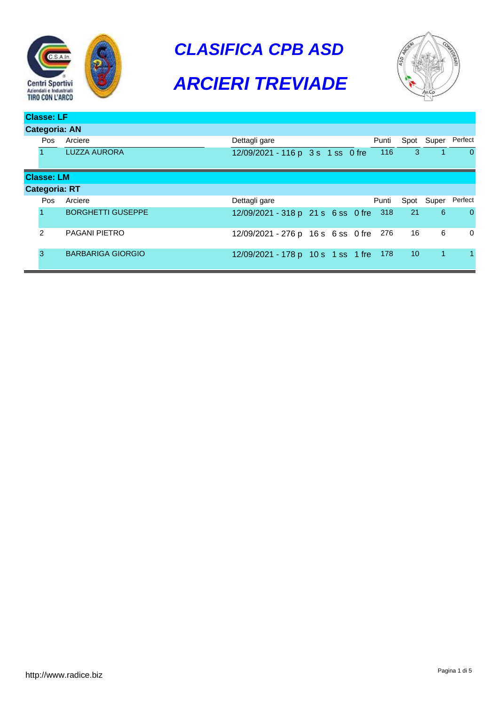



| Classe: LF           |                          |                                    |  |  |  |       |    |              |                    |
|----------------------|--------------------------|------------------------------------|--|--|--|-------|----|--------------|--------------------|
| <b>Categoria: AN</b> |                          |                                    |  |  |  |       |    |              |                    |
| <b>Pos</b>           | Arciere                  | Dettagli gare                      |  |  |  | Punti |    |              | Spot Super Perfect |
|                      | <b>LUZZA AURORA</b>      | 12/09/2021 - 116 p 3 s 1 ss 0 fre  |  |  |  | 116   | 3  |              | $\Omega$           |
| <b>Classe: LM</b>    |                          |                                    |  |  |  |       |    |              |                    |
| <b>Categoria: RT</b> |                          |                                    |  |  |  |       |    |              |                    |
| <b>Pos</b>           | Arciere                  | Dettagli gare                      |  |  |  | Punti |    | Spot Super   | Perfect            |
|                      | <b>BORGHETTI GUSEPPE</b> | 12/09/2021 - 318 p 21 s 6 ss 0 fre |  |  |  | 318   | 21 | 6            | $\Omega$           |
| $\mathcal{P}$        | <b>PAGANI PIETRO</b>     | 12/09/2021 - 276 p 16 s 6 ss 0 fre |  |  |  | 276   | 16 | 6            | 0                  |
| 3                    | <b>BARBARIGA GIORGIO</b> | 12/09/2021 - 178 p 10 s 1 ss 1 fre |  |  |  | 178   | 10 | $\mathbf{1}$ | 1.                 |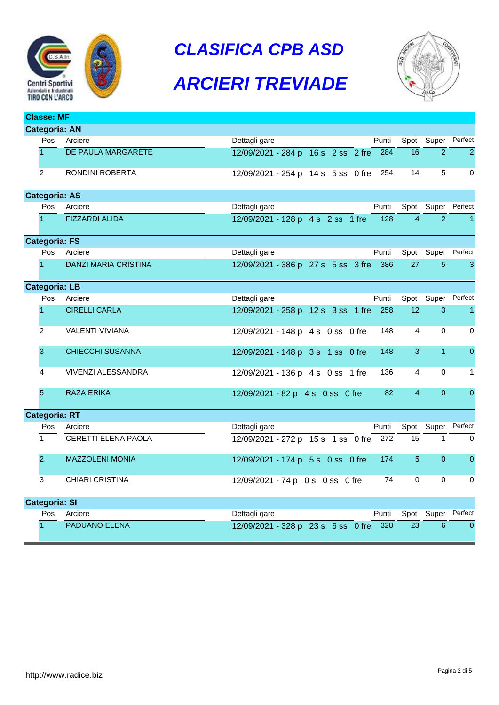



|                      | <b>Classe: MF</b>    |                             |                                                 |                                                    |  |  |  |
|----------------------|----------------------|-----------------------------|-------------------------------------------------|----------------------------------------------------|--|--|--|
|                      | <b>Categoria: AN</b> |                             |                                                 |                                                    |  |  |  |
|                      | Pos                  | Arciere                     | Dettagli gare<br>Punti                          | Spot Super<br>Perfect                              |  |  |  |
|                      | $\mathbf{1}$         | DE PAULA MARGARETE          | 284<br>16<br>12/09/2021 - 284 p 16 s 2 ss 2 fre | $\overline{2}$<br>$\overline{2}$                   |  |  |  |
|                      | $\overline{2}$       | RONDINI ROBERTA             | 14<br>12/09/2021 - 254 p 14 s 5 ss 0 fre<br>254 | 5<br>$\Omega$                                      |  |  |  |
|                      | <b>Categoria: AS</b> |                             |                                                 |                                                    |  |  |  |
|                      | Pos                  | Arciere                     | Dettagli gare<br>Punti                          | Perfect<br>Spot Super                              |  |  |  |
|                      | $\blacktriangleleft$ | <b>FIZZARDI ALIDA</b>       | 12/09/2021 - 128 p 4 s 2 ss 1 fre<br>128        | $\overline{4}$<br>2<br>$\mathbf{1}$                |  |  |  |
|                      | <b>Categoria: FS</b> |                             |                                                 |                                                    |  |  |  |
|                      | Pos                  | Arciere                     | Dettagli gare<br>Punti                          | Perfect<br>Spot Super                              |  |  |  |
|                      | $\overline{1}$       | <b>DANZI MARIA CRISTINA</b> | 12/09/2021 - 386 p 27 s 5 ss 3 fre 386<br>27    | 5<br>3                                             |  |  |  |
|                      | <b>Categoria: LB</b> |                             |                                                 |                                                    |  |  |  |
|                      | Pos                  | Arciere                     | Dettagli gare<br>Punti<br>Spot                  | Super<br>Perfect                                   |  |  |  |
|                      | $\overline{1}$       | <b>CIRELLI CARLA</b>        | 12<br>258<br>12/09/2021 - 258 p 12 s 3 ss 1 fre | $\mathbf{3}$<br>$\overline{1}$                     |  |  |  |
|                      | $\overline{2}$       | VALENTI VIVIANA             | 148<br>12/09/2021 - 148 p 4 s 0 ss 0 fre        | 4<br>$\mathbf 0$<br>$\mathbf 0$                    |  |  |  |
|                      | 3                    | <b>CHIECCHI SUSANNA</b>     | 12/09/2021 - 148 p 3 s 1 ss 0 fre<br>148        | $\overline{1}$<br>$\pmb{0}$<br>3                   |  |  |  |
|                      | 4                    | <b>VIVENZI ALESSANDRA</b>   | 12/09/2021 - 136 p 4 s 0 ss 1 fre<br>136        | 4<br>$\mathbf 0$<br>$\mathbf{1}$                   |  |  |  |
|                      | 5                    | <b>RAZA ERIKA</b>           | 82<br>12/09/2021 - 82 p 4 s 0 ss 0 fre          | $\overline{0}$<br>$\overline{4}$<br>$\Omega$       |  |  |  |
|                      | <b>Categoria: RT</b> |                             |                                                 |                                                    |  |  |  |
|                      | Pos                  | Arciere                     | Dettagli gare<br>Punti                          | Spot Super<br>Perfect                              |  |  |  |
|                      | $\mathbf{1}$         | CERETTI ELENA PAOLA         | 15<br>272<br>12/09/2021 - 272 p 15 s 1 ss 0 fre | $\mathbf{1}$<br>$\Omega$                           |  |  |  |
|                      | $\overline{2}$       | <b>MAZZOLENI MONIA</b>      | 174<br>12/09/2021 - 174 p 5 s 0 ss 0 fre        | 5 <sup>5</sup><br>$\overline{0}$<br>$\overline{0}$ |  |  |  |
|                      | 3                    | <b>CHIARI CRISTINA</b>      | 74<br>12/09/2021 - 74 p 0 s 0 ss 0 fre          | $\mathbf 0$<br>$\mathbf 0$<br>$\mathbf 0$          |  |  |  |
| <b>Categoria: SI</b> |                      |                             |                                                 |                                                    |  |  |  |
|                      | Pos                  | Arciere                     | Dettagli gare<br>Punti                          | Perfect<br>Spot Super                              |  |  |  |
|                      | $\overline{1}$       | <b>PADUANO ELENA</b>        | 12/09/2021 - 328 p 23 s 6 ss 0 fre<br>328<br>23 | 6<br>$\mathbf{0}$                                  |  |  |  |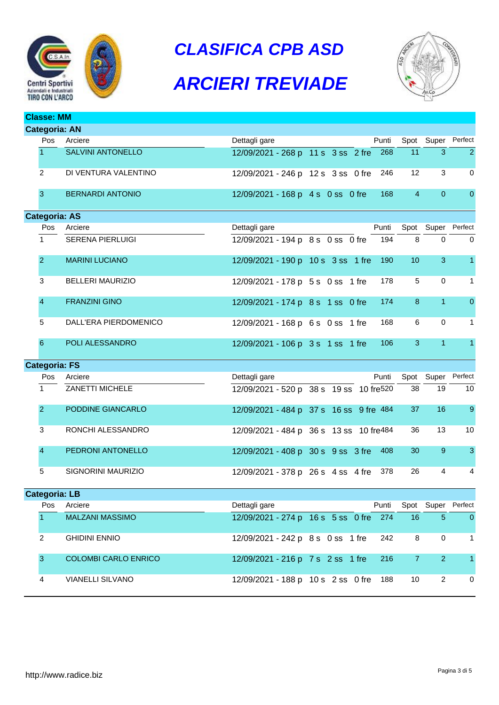



|                      | <b>Classe: MM</b>    |                             |                                    |                                         |                |                |                  |
|----------------------|----------------------|-----------------------------|------------------------------------|-----------------------------------------|----------------|----------------|------------------|
| <b>Categoria: AN</b> |                      |                             |                                    |                                         |                |                |                  |
|                      | Pos                  | Arciere                     | Dettagli gare                      | Punti                                   |                | Spot Super     | Perfect          |
|                      | $\mathbf{1}$         | <b>SALVINI ANTONELLO</b>    | 12/09/2021 - 268 p 11 s 3 ss 2 fre | 268                                     | 11             | 3              | $\overline{2}$   |
|                      | 2                    | DI VENTURA VALENTINO        | 12/09/2021 - 246 p 12 s 3 ss 0 fre | 246                                     | 12             | 3              | $\mathbf 0$      |
|                      | 3                    | <b>BERNARDI ANTONIO</b>     | 12/09/2021 - 168 p 4 s 0 ss 0 fre  | 168                                     | $\overline{4}$ | $\mathbf{0}$   | $\pmb{0}$        |
|                      | <b>Categoria: AS</b> |                             |                                    |                                         |                |                |                  |
|                      | Pos                  | Arciere                     | Dettagli gare                      | Punti                                   |                | Spot Super     | Perfect          |
|                      | $\mathbf{1}$         | <b>SERENA PIERLUIGI</b>     | 12/09/2021 - 194 p 8 s 0 ss 0 fre  | 194                                     | 8              | $\mathbf 0$    | 0                |
|                      | $\overline{2}$       | <b>MARINI LUCIANO</b>       | 12/09/2021 - 190 p 10 s 3 ss 1 fre | 190                                     | 10             | 3              | $\mathbf{1}$     |
|                      | 3                    | <b>BELLERI MAURIZIO</b>     | 12/09/2021 - 178 p 5 s 0 ss 1 fre  | 178                                     | 5              | $\mathbf 0$    | $\mathbf{1}$     |
|                      | $\overline{4}$       | <b>FRANZINI GINO</b>        | 12/09/2021 - 174 p 8 s 1 ss 0 fre  | 174                                     | 8              | $\mathbf{1}$   | $\overline{0}$   |
|                      | 5                    | DALL'ERA PIERDOMENICO       | 12/09/2021 - 168 p 6 s 0 ss 1 fre  | 168                                     | 6              | $\mathbf 0$    | $\mathbf{1}$     |
|                      | 6                    | POLI ALESSANDRO             | 12/09/2021 - 106 p 3s 1 ss 1 fre   | 106                                     | 3              | 1              | $\mathbf{1}$     |
|                      | <b>Categoria: FS</b> |                             |                                    |                                         |                |                |                  |
|                      | Pos                  | Arciere                     | Dettagli gare                      | Punti                                   |                | Spot Super     | Perfect          |
|                      | $\mathbf{1}$         | <b>ZANETTI MICHELE</b>      |                                    | 12/09/2021 - 520 p 38 s 19 ss 10 fre520 | 38             | 19             | 10               |
|                      | $\overline{2}$       | PODDINE GIANCARLO           |                                    | 12/09/2021 - 484 p 37 s 16 ss 9 fre 484 | 37             | 16             | $\boldsymbol{9}$ |
|                      | 3                    | RONCHI ALESSANDRO           |                                    | 12/09/2021 - 484 p 36 s 13 ss 10 fre484 | 36             | 13             | 10               |
|                      | $\overline{4}$       | PEDRONI ANTONELLO           | 12/09/2021 - 408 p 30 s 9 ss 3 fre | 408                                     | 30             | 9              | $\mathbf{3}$     |
|                      | 5                    | SIGNORINI MAURIZIO          | 12/09/2021 - 378 p 26 s 4 ss 4 fre | 378                                     | 26             | 4              | $\overline{4}$   |
|                      | <b>Categoria: LB</b> |                             |                                    |                                         |                |                |                  |
|                      | Pos                  | Arciere                     | Dettagli gare                      | Punti                                   |                | Spot Super     | Perfect          |
|                      | 1                    | <b>MALZANI MASSIMO</b>      | 12/09/2021 - 274 p 16 s 5 ss 0 fre | 274                                     | 16             | $\sqrt{5}$     | $\overline{0}$   |
|                      | 2                    | <b>GHIDINI ENNIO</b>        | 12/09/2021 - 242 p 8 s 0 ss 1 fre  | 242                                     | 8              | $\mathbf 0$    | $\mathbf{1}$     |
|                      | 3                    | <b>COLOMBI CARLO ENRICO</b> | 12/09/2021 - 216 p 7 s 2 ss 1 fre  | 216                                     | $\overline{7}$ | $\overline{2}$ | $\mathbf{1}$     |
|                      | 4                    | <b>VIANELLI SILVANO</b>     | 12/09/2021 - 188 p 10 s 2 ss 0 fre | 188                                     | 10             | $\overline{2}$ | 0                |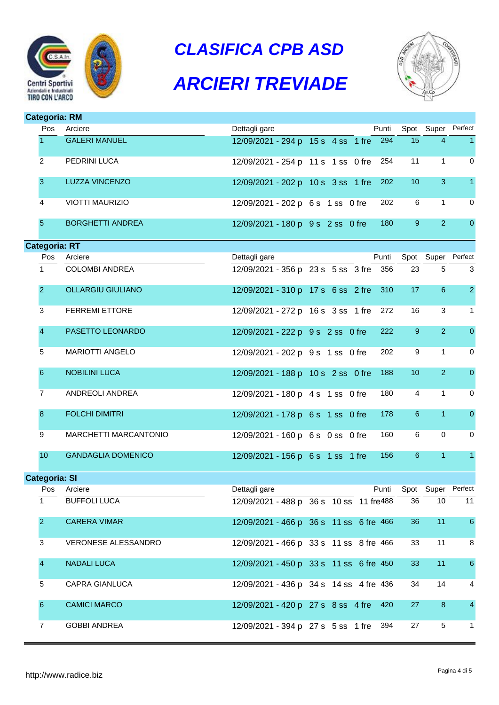



| <b>Categoria: RM</b> |                      |                           |                                    |                                         |                       |                    |                 |
|----------------------|----------------------|---------------------------|------------------------------------|-----------------------------------------|-----------------------|--------------------|-----------------|
|                      | <b>Pos</b>           | Arciere                   | Dettagli gare                      | Punti                                   |                       | Spot Super Perfect |                 |
|                      |                      | <b>GALERI MANUEL</b>      | 12/09/2021 - 294 p 15 s 4 ss 1 fre |                                         | 15<br>294             | 4                  | $\mathbf{1}$    |
|                      | 2                    | PEDRINI LUCA              | 12/09/2021 - 254 p 11 s 1 ss 0 fre |                                         | 11<br>254             | $\mathbf{1}$       | 0               |
|                      | 3                    | <b>LUZZA VINCENZO</b>     | 12/09/2021 - 202 p 10 s 3 ss 1 fre |                                         | 202<br>10             | 3                  | $\mathbf{1}$    |
|                      | 4                    | <b>VIOTTI MAURIZIO</b>    | 12/09/2021 - 202 p 6 s 1 ss 0 fre  |                                         | 202<br>6              | $\mathbf{1}$       | 0               |
|                      | $\overline{5}$       | <b>BORGHETTI ANDREA</b>   | 12/09/2021 - 180 p 9 s 2 ss 0 fre  |                                         | 180<br>9              | $\overline{2}$     | $\overline{0}$  |
|                      | <b>Categoria: RT</b> |                           |                                    |                                         |                       |                    |                 |
|                      | Pos                  | Arciere                   | Dettagli gare                      | Punti                                   |                       | Spot Super Perfect |                 |
|                      | $\mathbf{1}$         | <b>COLOMBI ANDREA</b>     | 12/09/2021 - 356 p 23 s 5 ss 3 fre |                                         | 356<br>23             | 5                  | 3               |
|                      | $\overline{2}$       | <b>OLLARGIU GIULIANO</b>  | 12/09/2021 - 310 p 17 s 6 ss 2 fre |                                         | 310<br>17             | $\sqrt{6}$         | $\overline{2}$  |
|                      | 3                    | <b>FERREMI ETTORE</b>     | 12/09/2021 - 272 p 16 s 3 ss 1 fre |                                         | 16<br>272             | 3                  | $\mathbf{1}$    |
|                      | $\overline{4}$       | PASETTO LEONARDO          | 12/09/2021 - 222 p 9 s 2 ss 0 fre  |                                         | 222<br>9              | $\overline{2}$     | $\overline{0}$  |
|                      | 5                    | <b>MARIOTTI ANGELO</b>    | 12/09/2021 - 202 p 9 s 1 ss 0 fre  |                                         | 9<br>202              | $\mathbf{1}$       | 0               |
|                      | 6                    | <b>NOBILINI LUCA</b>      | 12/09/2021 - 188 p 10 s 2 ss 0 fre |                                         | 188<br>10             | $\overline{2}$     | $\overline{0}$  |
|                      | 7                    | ANDREOLI ANDREA           | 12/09/2021 - 180 p 4 s 1 ss 0 fre  |                                         | 180<br>4              | $\mathbf{1}$       | 0               |
|                      | 8                    | <b>FOLCHI DIMITRI</b>     | 12/09/2021 - 178 p 6 s 1 ss 0 fre  |                                         | 178<br>$6\phantom{.}$ | $\overline{1}$     | $\overline{0}$  |
|                      | 9                    | MARCHETTI MARCANTONIO     | 12/09/2021 - 160 p 6 s 0 ss 0 fre  |                                         | 6<br>160              | $\pmb{0}$          | 0               |
|                      | 10                   | <b>GANDAGLIA DOMENICO</b> | 12/09/2021 - 156 p 6 s 1 ss 1 fre  |                                         | 156<br>$6\phantom{.}$ | $\overline{1}$     | $\mathbf{1}$    |
|                      | <b>Categoria: SI</b> |                           |                                    |                                         |                       |                    |                 |
|                      |                      | Pos Arciere               | Dettagli gare                      |                                         | Punti                 | Spot Super Perfect |                 |
|                      | 1                    | <b>BUFFOLI LUCA</b>       |                                    | 12/09/2021 - 488 p 36 s 10 ss 11 fre488 | 36                    | 10                 | 11              |
|                      | 2 <sup>1</sup>       | <b>CARERA VIMAR</b>       |                                    | 12/09/2021 - 466 p 36 s 11 ss 6 fre 466 | 36                    | 11                 | $6\phantom{.}6$ |
|                      | 3                    | VERONESE ALESSANDRO       |                                    | 12/09/2021 - 466 p 33 s 11 ss 8 fre 466 | 33                    | 11                 | 8               |
|                      | $\overline{4}$       | <b>NADALI LUCA</b>        |                                    | 12/09/2021 - 450 p 33 s 11 ss 6 fre 450 | 33                    | 11                 | $6\phantom{1}6$ |
|                      | 5                    | CAPRA GIANLUCA            |                                    | 12/09/2021 - 436 p 34 s 14 ss 4 fre 436 | 34                    | 14                 | 4               |
|                      | 6                    | <b>CAMICI MARCO</b>       | 12/09/2021 - 420 p 27 s 8 ss 4 fre |                                         | 420<br>27             | 8                  | $\overline{4}$  |
|                      | 7                    | <b>GOBBI ANDREA</b>       |                                    | 12/09/2021 - 394 p 27 s 5 ss 1 fre 394  | 27                    | 5                  | 1               |